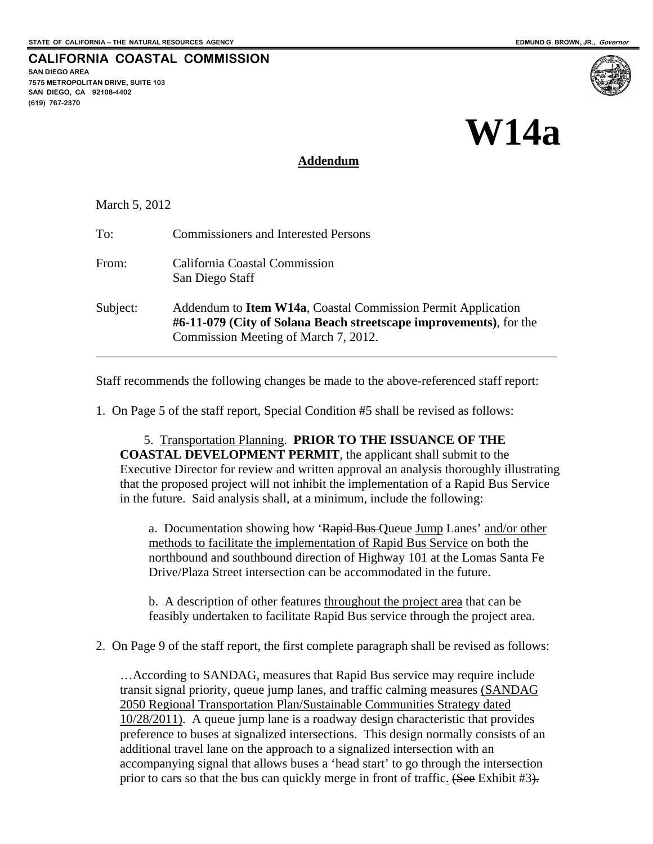**SAN DIEGO AREA** 

**(619) 767-2370** 

**7575 METROPOLITAN DRIVE, SUITE 103 SAN DIEGO, CA 92108-4402** 

**CALIFORNIA COASTAL COMMISSION** 

# **W14a**

#### **Addendum**

March 5, 2012

| To:      | <b>Commissioners and Interested Persons</b>                                                                                                                                        |
|----------|------------------------------------------------------------------------------------------------------------------------------------------------------------------------------------|
| From:    | California Coastal Commission<br>San Diego Staff                                                                                                                                   |
| Subject: | Addendum to <b>Item W14a</b> , Coastal Commission Permit Application<br>#6-11-079 (City of Solana Beach streetscape improvements), for the<br>Commission Meeting of March 7, 2012. |

Staff recommends the following changes be made to the above-referenced staff report:

1. On Page 5 of the staff report, Special Condition #5 shall be revised as follows:

5. Transportation Planning. **PRIOR TO THE ISSUANCE OF THE COASTAL DEVELOPMENT PERMIT**, the applicant shall submit to the Executive Director for review and written approval an analysis thoroughly illustrating that the proposed project will not inhibit the implementation of a Rapid Bus Service in the future. Said analysis shall, at a minimum, include the following:

a. Documentation showing how 'Rapid Bus Queue Jump Lanes' and/or other methods to facilitate the implementation of Rapid Bus Service on both the northbound and southbound direction of Highway 101 at the Lomas Santa Fe Drive/Plaza Street intersection can be accommodated in the future.

b. A description of other features throughout the project area that can be feasibly undertaken to facilitate Rapid Bus service through the project area.

2. On Page 9 of the staff report, the first complete paragraph shall be revised as follows:

…According to SANDAG, measures that Rapid Bus service may require include transit signal priority, queue jump lanes, and traffic calming measures (SANDAG 2050 Regional Transportation Plan/Sustainable Communities Strategy dated 10/28/2011). A queue jump lane is a roadway design characteristic that provides preference to buses at signalized intersections. This design normally consists of an additional travel lane on the approach to a signalized intersection with an accompanying signal that allows buses a 'head start' to go through the intersection prior to cars so that the bus can quickly merge in front of traffic. (See Exhibit #3).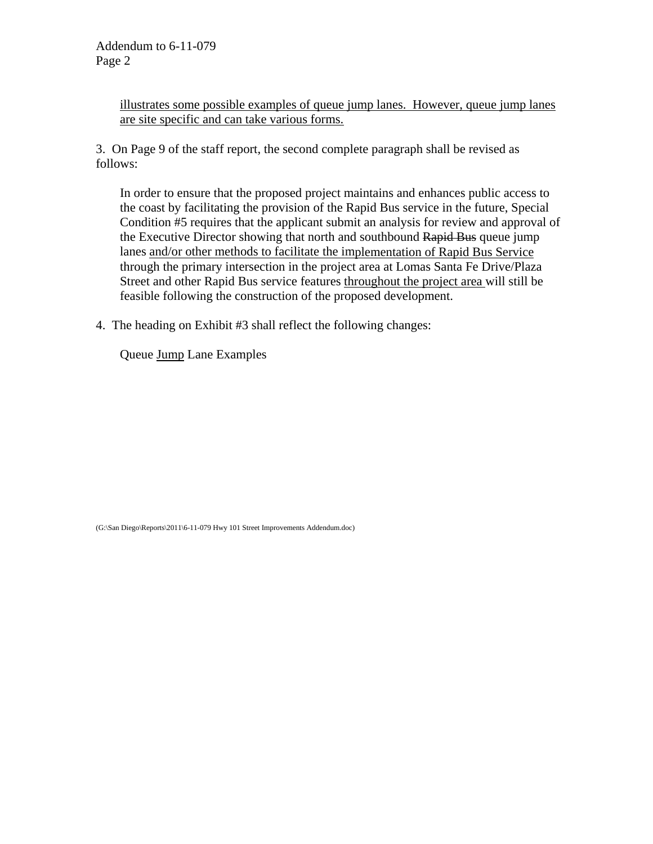illustrates some possible examples of queue jump lanes. However, queue jump lanes are site specific and can take various forms.

3. On Page 9 of the staff report, the second complete paragraph shall be revised as follows:

In order to ensure that the proposed project maintains and enhances public access to the coast by facilitating the provision of the Rapid Bus service in the future, Special Condition #5 requires that the applicant submit an analysis for review and approval of the Executive Director showing that north and southbound Rapid Bus queue jump lanes and/or other methods to facilitate the implementation of Rapid Bus Service through the primary intersection in the project area at Lomas Santa Fe Drive/Plaza Street and other Rapid Bus service features throughout the project area will still be feasible following the construction of the proposed development.

4. The heading on Exhibit #3 shall reflect the following changes:

Queue Jump Lane Examples

(G:\San Diego\Reports\2011\6-11-079 Hwy 101 Street Improvements Addendum.doc)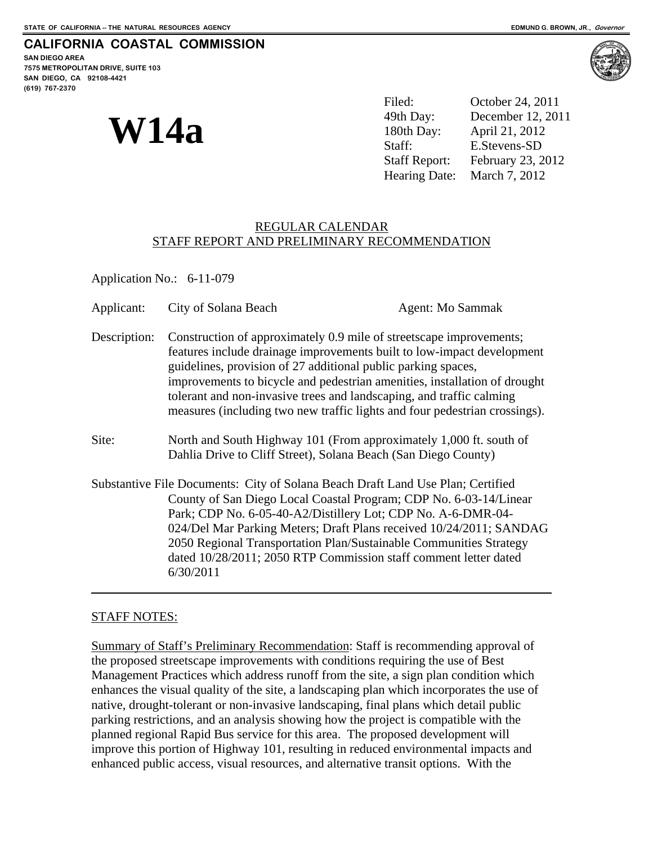#### **CALIFORNIA COASTAL COMMISSION**

**SAN DIEGO AREA 7575 METROPOLITAN DRIVE, SUITE 103 SAN DIEGO, CA 92108-4421 (619) 767-2370**

**W14a** 

Filed: October 24, 2011 49th Day: December 12, 2011 180th Day: April 21, 2012 Staff: E.Stevens-SD Staff Report: February 23, 2012 Hearing Date: March 7, 2012

#### REGULAR CALENDAR STAFF REPORT AND PRELIMINARY RECOMMENDATION

Application No.: 6-11-079

| Applicant:   | City of Solana Beach                                                                                                                                                                                                                                                                                                                                                                                                                              | Agent: Mo Sammak                                                                                                                                                                                                                                                                                                                                                                                                                      |  |
|--------------|---------------------------------------------------------------------------------------------------------------------------------------------------------------------------------------------------------------------------------------------------------------------------------------------------------------------------------------------------------------------------------------------------------------------------------------------------|---------------------------------------------------------------------------------------------------------------------------------------------------------------------------------------------------------------------------------------------------------------------------------------------------------------------------------------------------------------------------------------------------------------------------------------|--|
| Description: | Construction of approximately 0.9 mile of streetscape improvements;<br>features include drainage improvements built to low-impact development<br>guidelines, provision of 27 additional public parking spaces,<br>improvements to bicycle and pedestrian amenities, installation of drought<br>tolerant and non-invasive trees and landscaping, and traffic calming<br>measures (including two new traffic lights and four pedestrian crossings). |                                                                                                                                                                                                                                                                                                                                                                                                                                       |  |
| Site:        | North and South Highway 101 (From approximately 1,000 ft. south of<br>Dahlia Drive to Cliff Street), Solana Beach (San Diego County)                                                                                                                                                                                                                                                                                                              |                                                                                                                                                                                                                                                                                                                                                                                                                                       |  |
|              | 6/30/2011                                                                                                                                                                                                                                                                                                                                                                                                                                         | Substantive File Documents: City of Solana Beach Draft Land Use Plan; Certified<br>County of San Diego Local Coastal Program; CDP No. 6-03-14/Linear<br>Park; CDP No. 6-05-40-A2/Distillery Lot; CDP No. A-6-DMR-04-<br>024/Del Mar Parking Meters; Draft Plans received 10/24/2011; SANDAG<br>2050 Regional Transportation Plan/Sustainable Communities Strategy<br>dated 10/28/2011; 2050 RTP Commission staff comment letter dated |  |

#### STAFF NOTES:

l

Summary of Staff's Preliminary Recommendation: Staff is recommending approval of the proposed streetscape improvements with conditions requiring the use of Best Management Practices which address runoff from the site, a sign plan condition which enhances the visual quality of the site, a landscaping plan which incorporates the use of native, drought-tolerant or non-invasive landscaping, final plans which detail public parking restrictions, and an analysis showing how the project is compatible with the planned regional Rapid Bus service for this area. The proposed development will improve this portion of Highway 101, resulting in reduced environmental impacts and enhanced public access, visual resources, and alternative transit options. With the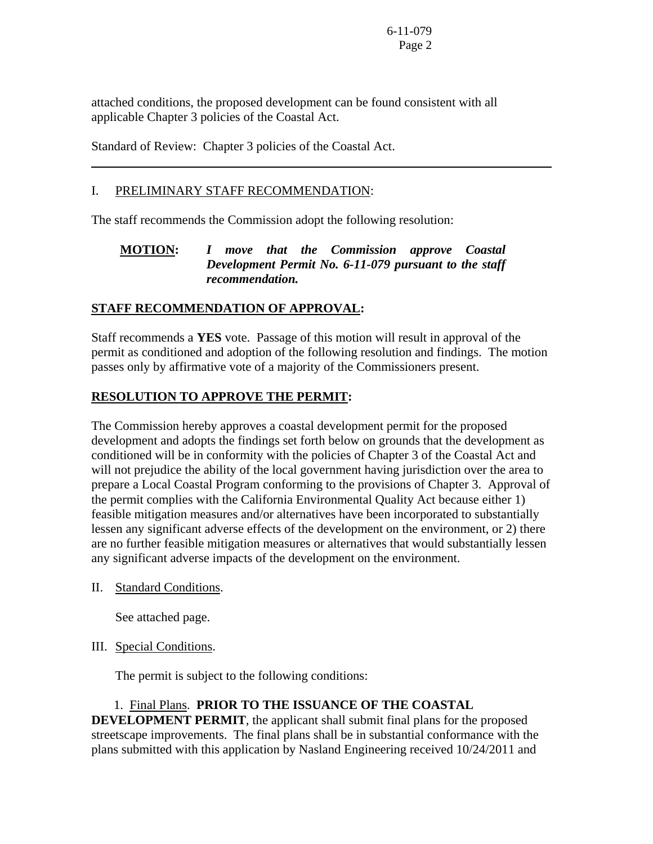attached conditions, the proposed development can be found consistent with all applicable Chapter 3 policies of the Coastal Act.

Standard of Review: Chapter 3 policies of the Coastal Act.

#### I. PRELIMINARY STAFF RECOMMENDATION:

 $\overline{a}$ 

The staff recommends the Commission adopt the following resolution:

#### **MOTION:** *I move that the Commission approve Coastal Development Permit No. 6-11-079 pursuant to the staff recommendation.*

#### **STAFF RECOMMENDATION OF APPROVAL:**

Staff recommends a **YES** vote. Passage of this motion will result in approval of the permit as conditioned and adoption of the following resolution and findings. The motion passes only by affirmative vote of a majority of the Commissioners present.

#### **RESOLUTION TO APPROVE THE PERMIT:**

The Commission hereby approves a coastal development permit for the proposed development and adopts the findings set forth below on grounds that the development as conditioned will be in conformity with the policies of Chapter 3 of the Coastal Act and will not prejudice the ability of the local government having jurisdiction over the area to prepare a Local Coastal Program conforming to the provisions of Chapter 3. Approval of the permit complies with the California Environmental Quality Act because either 1) feasible mitigation measures and/or alternatives have been incorporated to substantially lessen any significant adverse effects of the development on the environment, or 2) there are no further feasible mitigation measures or alternatives that would substantially lessen any significant adverse impacts of the development on the environment.

II. Standard Conditions.

See attached page.

#### III. Special Conditions.

The permit is subject to the following conditions:

#### 1. Final Plans. **PRIOR TO THE ISSUANCE OF THE COASTAL**

**DEVELOPMENT PERMIT**, the applicant shall submit final plans for the proposed streetscape improvements. The final plans shall be in substantial conformance with the plans submitted with this application by Nasland Engineering received 10/24/2011 and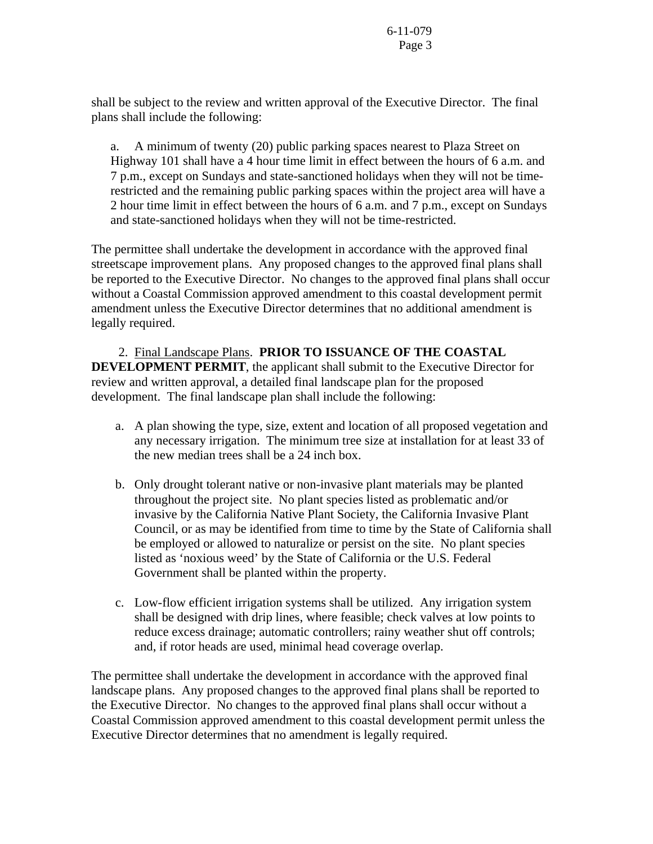shall be subject to the review and written approval of the Executive Director. The final plans shall include the following:

a. A minimum of twenty (20) public parking spaces nearest to Plaza Street on Highway 101 shall have a 4 hour time limit in effect between the hours of 6 a.m. and 7 p.m., except on Sundays and state-sanctioned holidays when they will not be timerestricted and the remaining public parking spaces within the project area will have a 2 hour time limit in effect between the hours of 6 a.m. and 7 p.m., except on Sundays and state-sanctioned holidays when they will not be time-restricted.

The permittee shall undertake the development in accordance with the approved final streetscape improvement plans. Any proposed changes to the approved final plans shall be reported to the Executive Director. No changes to the approved final plans shall occur without a Coastal Commission approved amendment to this coastal development permit amendment unless the Executive Director determines that no additional amendment is legally required.

 2. Final Landscape Plans. **PRIOR TO ISSUANCE OF THE COASTAL DEVELOPMENT PERMIT**, the applicant shall submit to the Executive Director for review and written approval, a detailed final landscape plan for the proposed development. The final landscape plan shall include the following:

- a. A plan showing the type, size, extent and location of all proposed vegetation and any necessary irrigation. The minimum tree size at installation for at least 33 of the new median trees shall be a 24 inch box.
- b. Only drought tolerant native or non-invasive plant materials may be planted throughout the project site. No plant species listed as problematic and/or invasive by the California Native Plant Society, the California Invasive Plant Council, or as may be identified from time to time by the State of California shall be employed or allowed to naturalize or persist on the site. No plant species listed as 'noxious weed' by the State of California or the U.S. Federal Government shall be planted within the property.
- c. Low-flow efficient irrigation systems shall be utilized. Any irrigation system shall be designed with drip lines, where feasible; check valves at low points to reduce excess drainage; automatic controllers; rainy weather shut off controls; and, if rotor heads are used, minimal head coverage overlap.

The permittee shall undertake the development in accordance with the approved final landscape plans. Any proposed changes to the approved final plans shall be reported to the Executive Director. No changes to the approved final plans shall occur without a Coastal Commission approved amendment to this coastal development permit unless the Executive Director determines that no amendment is legally required.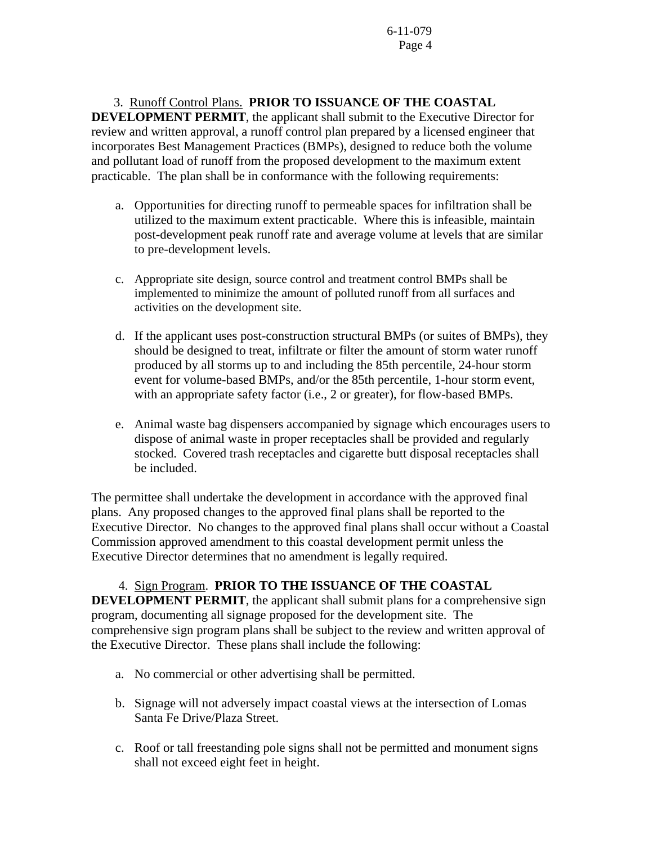3. Runoff Control Plans. **PRIOR TO ISSUANCE OF THE COASTAL DEVELOPMENT PERMIT**, the applicant shall submit to the Executive Director for review and written approval, a runoff control plan prepared by a licensed engineer that incorporates Best Management Practices (BMPs), designed to reduce both the volume and pollutant load of runoff from the proposed development to the maximum extent practicable. The plan shall be in conformance with the following requirements:

- a. Opportunities for directing runoff to permeable spaces for infiltration shall be utilized to the maximum extent practicable. Where this is infeasible, maintain post-development peak runoff rate and average volume at levels that are similar to pre-development levels.
- c. Appropriate site design, source control and treatment control BMPs shall be implemented to minimize the amount of polluted runoff from all surfaces and activities on the development site.
- d. If the applicant uses post-construction structural BMPs (or suites of BMPs), they should be designed to treat, infiltrate or filter the amount of storm water runoff produced by all storms up to and including the 85th percentile, 24-hour storm event for volume-based BMPs, and/or the 85th percentile, 1-hour storm event, with an appropriate safety factor (i.e., 2 or greater), for flow-based BMPs.
- e. Animal waste bag dispensers accompanied by signage which encourages users to dispose of animal waste in proper receptacles shall be provided and regularly stocked. Covered trash receptacles and cigarette butt disposal receptacles shall be included.

The permittee shall undertake the development in accordance with the approved final plans. Any proposed changes to the approved final plans shall be reported to the Executive Director. No changes to the approved final plans shall occur without a Coastal Commission approved amendment to this coastal development permit unless the Executive Director determines that no amendment is legally required.

### 4. Sign Program. **PRIOR TO THE ISSUANCE OF THE COASTAL**

**DEVELOPMENT PERMIT**, the applicant shall submit plans for a comprehensive sign program, documenting all signage proposed for the development site. The comprehensive sign program plans shall be subject to the review and written approval of the Executive Director. These plans shall include the following:

- a. No commercial or other advertising shall be permitted.
- b. Signage will not adversely impact coastal views at the intersection of Lomas Santa Fe Drive/Plaza Street.
- c. Roof or tall freestanding pole signs shall not be permitted and monument signs shall not exceed eight feet in height.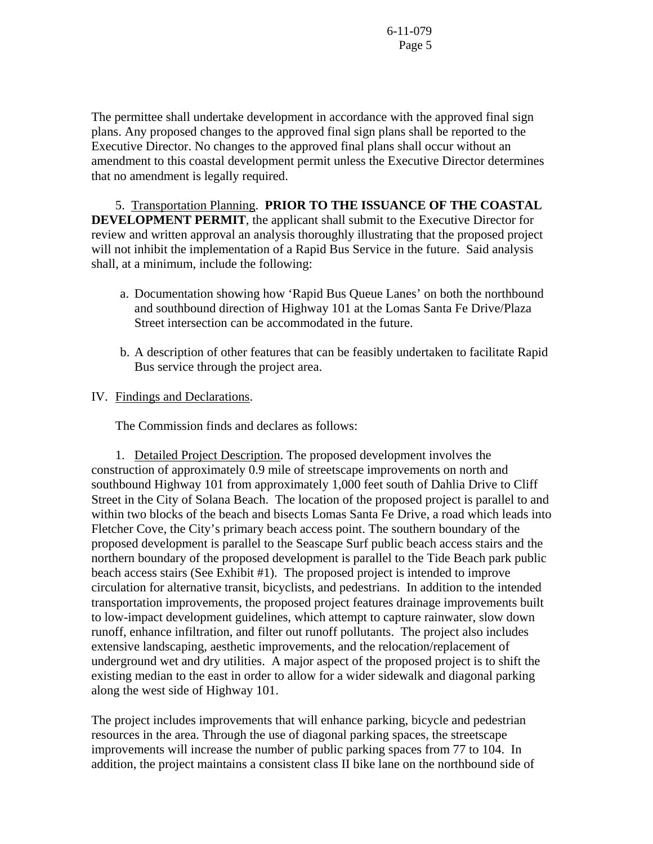The permittee shall undertake development in accordance with the approved final sign plans. Any proposed changes to the approved final sign plans shall be reported to the Executive Director. No changes to the approved final plans shall occur without an amendment to this coastal development permit unless the Executive Director determines that no amendment is legally required.

5. Transportation Planning. **PRIOR TO THE ISSUANCE OF THE COASTAL DEVELOPMENT PERMIT**, the applicant shall submit to the Executive Director for review and written approval an analysis thoroughly illustrating that the proposed project will not inhibit the implementation of a Rapid Bus Service in the future. Said analysis shall, at a minimum, include the following:

- a. Documentation showing how 'Rapid Bus Queue Lanes' on both the northbound and southbound direction of Highway 101 at the Lomas Santa Fe Drive/Plaza Street intersection can be accommodated in the future.
- b. A description of other features that can be feasibly undertaken to facilitate Rapid Bus service through the project area.

#### IV. Findings and Declarations.

The Commission finds and declares as follows:

 1. Detailed Project Description. The proposed development involves the construction of approximately 0.9 mile of streetscape improvements on north and southbound Highway 101 from approximately 1,000 feet south of Dahlia Drive to Cliff Street in the City of Solana Beach. The location of the proposed project is parallel to and within two blocks of the beach and bisects Lomas Santa Fe Drive, a road which leads into Fletcher Cove, the City's primary beach access point. The southern boundary of the proposed development is parallel to the Seascape Surf public beach access stairs and the northern boundary of the proposed development is parallel to the Tide Beach park public beach access stairs (See Exhibit #1). The proposed project is intended to improve circulation for alternative transit, bicyclists, and pedestrians. In addition to the intended transportation improvements, the proposed project features drainage improvements built to low-impact development guidelines, which attempt to capture rainwater, slow down runoff, enhance infiltration, and filter out runoff pollutants. The project also includes extensive landscaping, aesthetic improvements, and the relocation/replacement of underground wet and dry utilities. A major aspect of the proposed project is to shift the existing median to the east in order to allow for a wider sidewalk and diagonal parking along the west side of Highway 101.

The project includes improvements that will enhance parking, bicycle and pedestrian resources in the area. Through the use of diagonal parking spaces, the streetscape improvements will increase the number of public parking spaces from 77 to 104. In addition, the project maintains a consistent class II bike lane on the northbound side of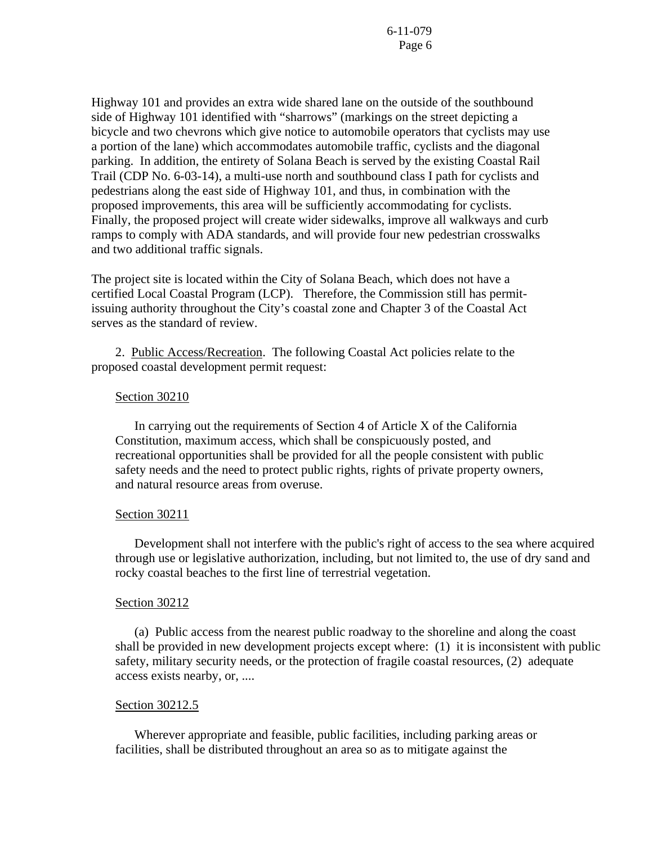Highway 101 and provides an extra wide shared lane on the outside of the southbound side of Highway 101 identified with "sharrows" (markings on the street depicting a bicycle and two chevrons which give notice to automobile operators that cyclists may use a portion of the lane) which accommodates automobile traffic, cyclists and the diagonal parking. In addition, the entirety of Solana Beach is served by the existing Coastal Rail Trail (CDP No. 6-03-14), a multi-use north and southbound class I path for cyclists and pedestrians along the east side of Highway 101, and thus, in combination with the proposed improvements, this area will be sufficiently accommodating for cyclists. Finally, the proposed project will create wider sidewalks, improve all walkways and curb ramps to comply with ADA standards, and will provide four new pedestrian crosswalks and two additional traffic signals.

The project site is located within the City of Solana Beach, which does not have a certified Local Coastal Program (LCP). Therefore, the Commission still has permitissuing authority throughout the City's coastal zone and Chapter 3 of the Coastal Act serves as the standard of review.

 2. Public Access/Recreation. The following Coastal Act policies relate to the proposed coastal development permit request:

#### Section 30210

 In carrying out the requirements of Section 4 of Article X of the California Constitution, maximum access, which shall be conspicuously posted, and recreational opportunities shall be provided for all the people consistent with public safety needs and the need to protect public rights, rights of private property owners, and natural resource areas from overuse.

#### Section 30211

 Development shall not interfere with the public's right of access to the sea where acquired through use or legislative authorization, including, but not limited to, the use of dry sand and rocky coastal beaches to the first line of terrestrial vegetation.

#### Section 30212

 (a) Public access from the nearest public roadway to the shoreline and along the coast shall be provided in new development projects except where: (1) it is inconsistent with public safety, military security needs, or the protection of fragile coastal resources, (2) adequate access exists nearby, or, ....

#### Section 30212.5

 Wherever appropriate and feasible, public facilities, including parking areas or facilities, shall be distributed throughout an area so as to mitigate against the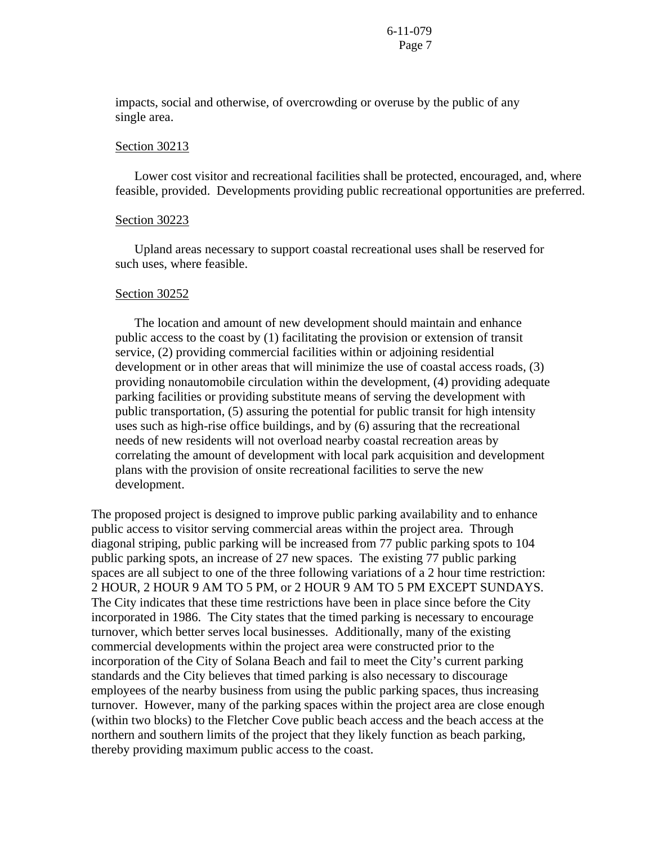impacts, social and otherwise, of overcrowding or overuse by the public of any single area.

#### Section 30213

 Lower cost visitor and recreational facilities shall be protected, encouraged, and, where feasible, provided. Developments providing public recreational opportunities are preferred.

#### Section 30223

 Upland areas necessary to support coastal recreational uses shall be reserved for such uses, where feasible.

#### Section 30252

 The location and amount of new development should maintain and enhance public access to the coast by (1) facilitating the provision or extension of transit service, (2) providing commercial facilities within or adjoining residential development or in other areas that will minimize the use of coastal access roads, (3) providing nonautomobile circulation within the development, (4) providing adequate parking facilities or providing substitute means of serving the development with public transportation, (5) assuring the potential for public transit for high intensity uses such as high-rise office buildings, and by (6) assuring that the recreational needs of new residents will not overload nearby coastal recreation areas by correlating the amount of development with local park acquisition and development plans with the provision of onsite recreational facilities to serve the new development.

The proposed project is designed to improve public parking availability and to enhance public access to visitor serving commercial areas within the project area. Through diagonal striping, public parking will be increased from 77 public parking spots to 104 public parking spots, an increase of 27 new spaces. The existing 77 public parking spaces are all subject to one of the three following variations of a 2 hour time restriction: 2 HOUR, 2 HOUR 9 AM TO 5 PM, or 2 HOUR 9 AM TO 5 PM EXCEPT SUNDAYS. The City indicates that these time restrictions have been in place since before the City incorporated in 1986. The City states that the timed parking is necessary to encourage turnover, which better serves local businesses. Additionally, many of the existing commercial developments within the project area were constructed prior to the incorporation of the City of Solana Beach and fail to meet the City's current parking standards and the City believes that timed parking is also necessary to discourage employees of the nearby business from using the public parking spaces, thus increasing turnover. However, many of the parking spaces within the project area are close enough (within two blocks) to the Fletcher Cove public beach access and the beach access at the northern and southern limits of the project that they likely function as beach parking, thereby providing maximum public access to the coast.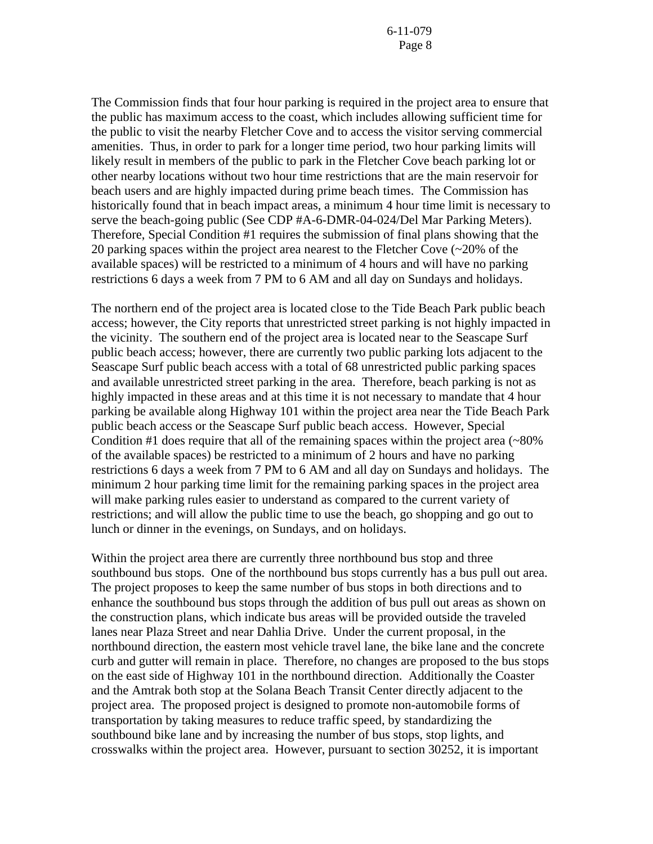The Commission finds that four hour parking is required in the project area to ensure that the public has maximum access to the coast, which includes allowing sufficient time for the public to visit the nearby Fletcher Cove and to access the visitor serving commercial amenities. Thus, in order to park for a longer time period, two hour parking limits will likely result in members of the public to park in the Fletcher Cove beach parking lot or other nearby locations without two hour time restrictions that are the main reservoir for beach users and are highly impacted during prime beach times. The Commission has historically found that in beach impact areas, a minimum 4 hour time limit is necessary to serve the beach-going public (See CDP #A-6-DMR-04-024/Del Mar Parking Meters). Therefore, Special Condition #1 requires the submission of final plans showing that the 20 parking spaces within the project area nearest to the Fletcher Cove (~20% of the available spaces) will be restricted to a minimum of 4 hours and will have no parking restrictions 6 days a week from 7 PM to 6 AM and all day on Sundays and holidays.

The northern end of the project area is located close to the Tide Beach Park public beach access; however, the City reports that unrestricted street parking is not highly impacted in the vicinity. The southern end of the project area is located near to the Seascape Surf public beach access; however, there are currently two public parking lots adjacent to the Seascape Surf public beach access with a total of 68 unrestricted public parking spaces and available unrestricted street parking in the area. Therefore, beach parking is not as highly impacted in these areas and at this time it is not necessary to mandate that 4 hour parking be available along Highway 101 within the project area near the Tide Beach Park public beach access or the Seascape Surf public beach access. However, Special Condition  $#1$  does require that all of the remaining spaces within the project area ( $\sim 80\%$ ) of the available spaces) be restricted to a minimum of 2 hours and have no parking restrictions 6 days a week from 7 PM to 6 AM and all day on Sundays and holidays. The minimum 2 hour parking time limit for the remaining parking spaces in the project area will make parking rules easier to understand as compared to the current variety of restrictions; and will allow the public time to use the beach, go shopping and go out to lunch or dinner in the evenings, on Sundays, and on holidays.

Within the project area there are currently three northbound bus stop and three southbound bus stops. One of the northbound bus stops currently has a bus pull out area. The project proposes to keep the same number of bus stops in both directions and to enhance the southbound bus stops through the addition of bus pull out areas as shown on the construction plans, which indicate bus areas will be provided outside the traveled lanes near Plaza Street and near Dahlia Drive. Under the current proposal, in the northbound direction, the eastern most vehicle travel lane, the bike lane and the concrete curb and gutter will remain in place. Therefore, no changes are proposed to the bus stops on the east side of Highway 101 in the northbound direction. Additionally the Coaster and the Amtrak both stop at the Solana Beach Transit Center directly adjacent to the project area. The proposed project is designed to promote non-automobile forms of transportation by taking measures to reduce traffic speed, by standardizing the southbound bike lane and by increasing the number of bus stops, stop lights, and crosswalks within the project area. However, pursuant to section 30252, it is important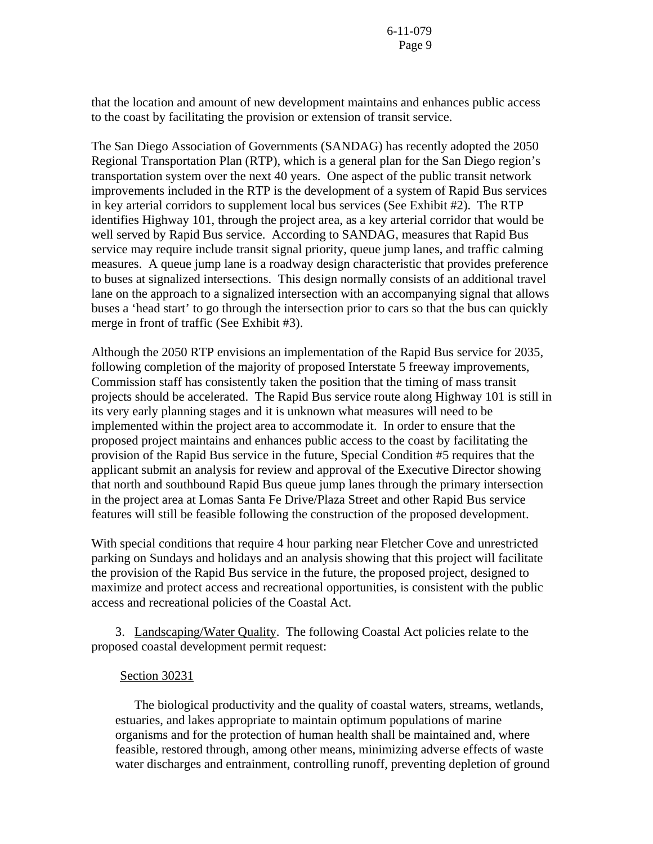that the location and amount of new development maintains and enhances public access to the coast by facilitating the provision or extension of transit service.

The San Diego Association of Governments (SANDAG) has recently adopted the 2050 Regional Transportation Plan (RTP), which is a general plan for the San Diego region's transportation system over the next 40 years. One aspect of the public transit network improvements included in the RTP is the development of a system of Rapid Bus services in key arterial corridors to supplement local bus services (See Exhibit #2). The RTP identifies Highway 101, through the project area, as a key arterial corridor that would be well served by Rapid Bus service. According to SANDAG, measures that Rapid Bus service may require include transit signal priority, queue jump lanes, and traffic calming measures. A queue jump lane is a roadway design characteristic that provides preference to buses at signalized intersections. This design normally consists of an additional travel lane on the approach to a signalized intersection with an accompanying signal that allows buses a 'head start' to go through the intersection prior to cars so that the bus can quickly merge in front of traffic (See Exhibit #3).

Although the 2050 RTP envisions an implementation of the Rapid Bus service for 2035, following completion of the majority of proposed Interstate 5 freeway improvements, Commission staff has consistently taken the position that the timing of mass transit projects should be accelerated. The Rapid Bus service route along Highway 101 is still in its very early planning stages and it is unknown what measures will need to be implemented within the project area to accommodate it. In order to ensure that the proposed project maintains and enhances public access to the coast by facilitating the provision of the Rapid Bus service in the future, Special Condition #5 requires that the applicant submit an analysis for review and approval of the Executive Director showing that north and southbound Rapid Bus queue jump lanes through the primary intersection in the project area at Lomas Santa Fe Drive/Plaza Street and other Rapid Bus service features will still be feasible following the construction of the proposed development.

With special conditions that require 4 hour parking near Fletcher Cove and unrestricted parking on Sundays and holidays and an analysis showing that this project will facilitate the provision of the Rapid Bus service in the future, the proposed project, designed to maximize and protect access and recreational opportunities, is consistent with the public access and recreational policies of the Coastal Act.

3. Landscaping/Water Quality. The following Coastal Act policies relate to the proposed coastal development permit request:

#### Section 30231

 The biological productivity and the quality of coastal waters, streams, wetlands, estuaries, and lakes appropriate to maintain optimum populations of marine organisms and for the protection of human health shall be maintained and, where feasible, restored through, among other means, minimizing adverse effects of waste water discharges and entrainment, controlling runoff, preventing depletion of ground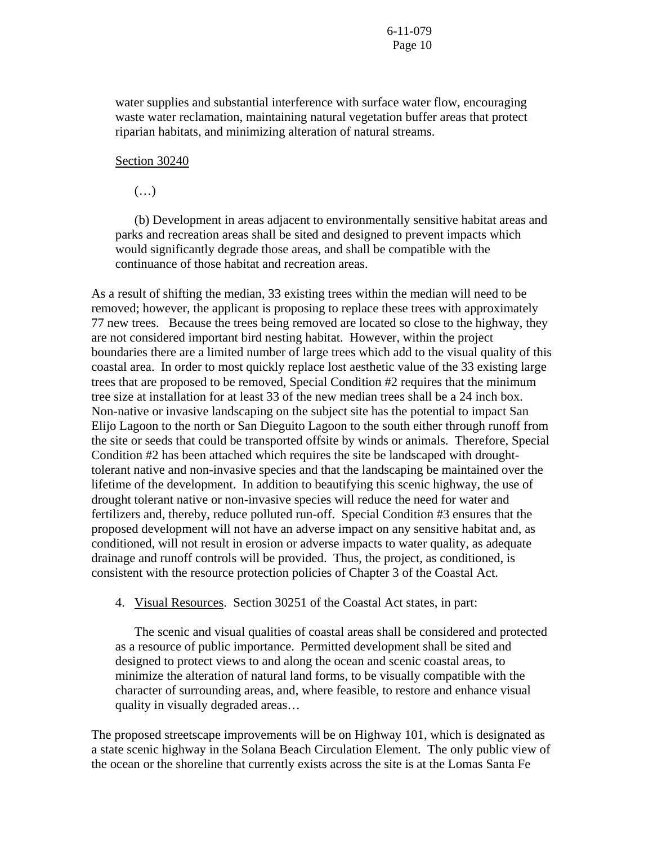water supplies and substantial interference with surface water flow, encouraging waste water reclamation, maintaining natural vegetation buffer areas that protect riparian habitats, and minimizing alteration of natural streams.

#### Section 30240

 $(\ldots)$ 

 (b) Development in areas adjacent to environmentally sensitive habitat areas and parks and recreation areas shall be sited and designed to prevent impacts which would significantly degrade those areas, and shall be compatible with the continuance of those habitat and recreation areas.

As a result of shifting the median, 33 existing trees within the median will need to be removed; however, the applicant is proposing to replace these trees with approximately 77 new trees. Because the trees being removed are located so close to the highway, they are not considered important bird nesting habitat. However, within the project boundaries there are a limited number of large trees which add to the visual quality of this coastal area. In order to most quickly replace lost aesthetic value of the 33 existing large trees that are proposed to be removed, Special Condition #2 requires that the minimum tree size at installation for at least 33 of the new median trees shall be a 24 inch box. Non-native or invasive landscaping on the subject site has the potential to impact San Elijo Lagoon to the north or San Dieguito Lagoon to the south either through runoff from the site or seeds that could be transported offsite by winds or animals. Therefore, Special Condition #2 has been attached which requires the site be landscaped with droughttolerant native and non-invasive species and that the landscaping be maintained over the lifetime of the development. In addition to beautifying this scenic highway, the use of drought tolerant native or non-invasive species will reduce the need for water and fertilizers and, thereby, reduce polluted run-off. Special Condition #3 ensures that the proposed development will not have an adverse impact on any sensitive habitat and, as conditioned, will not result in erosion or adverse impacts to water quality, as adequate drainage and runoff controls will be provided. Thus, the project, as conditioned, is consistent with the resource protection policies of Chapter 3 of the Coastal Act.

4. Visual Resources. Section 30251 of the Coastal Act states, in part:

The scenic and visual qualities of coastal areas shall be considered and protected as a resource of public importance. Permitted development shall be sited and designed to protect views to and along the ocean and scenic coastal areas, to minimize the alteration of natural land forms, to be visually compatible with the character of surrounding areas, and, where feasible, to restore and enhance visual quality in visually degraded areas…

The proposed streetscape improvements will be on Highway 101, which is designated as a state scenic highway in the Solana Beach Circulation Element. The only public view of the ocean or the shoreline that currently exists across the site is at the Lomas Santa Fe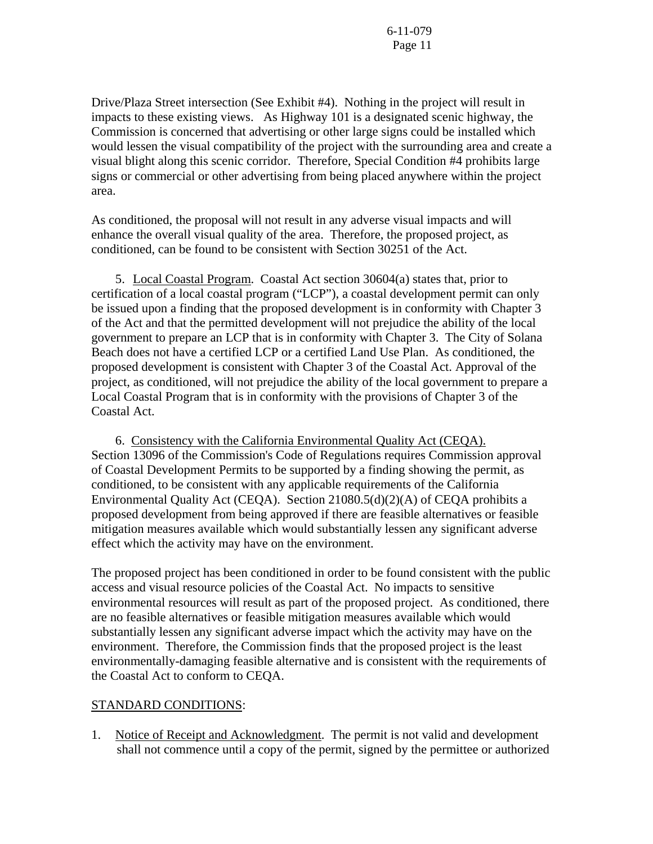Drive/Plaza Street intersection (See Exhibit #4). Nothing in the project will result in impacts to these existing views. As Highway 101 is a designated scenic highway, the Commission is concerned that advertising or other large signs could be installed which would lessen the visual compatibility of the project with the surrounding area and create a visual blight along this scenic corridor. Therefore, Special Condition #4 prohibits large signs or commercial or other advertising from being placed anywhere within the project area.

As conditioned, the proposal will not result in any adverse visual impacts and will enhance the overall visual quality of the area. Therefore, the proposed project, as conditioned, can be found to be consistent with Section 30251 of the Act.

 5. Local Coastal Program. Coastal Act section 30604(a) states that, prior to certification of a local coastal program ("LCP"), a coastal development permit can only be issued upon a finding that the proposed development is in conformity with Chapter 3 of the Act and that the permitted development will not prejudice the ability of the local government to prepare an LCP that is in conformity with Chapter 3. The City of Solana Beach does not have a certified LCP or a certified Land Use Plan. As conditioned, the proposed development is consistent with Chapter 3 of the Coastal Act. Approval of the project, as conditioned, will not prejudice the ability of the local government to prepare a Local Coastal Program that is in conformity with the provisions of Chapter 3 of the Coastal Act.

 6. Consistency with the California Environmental Quality Act (CEQA). Section 13096 of the Commission's Code of Regulations requires Commission approval of Coastal Development Permits to be supported by a finding showing the permit, as conditioned, to be consistent with any applicable requirements of the California Environmental Quality Act (CEQA). Section 21080.5(d)(2)(A) of CEQA prohibits a proposed development from being approved if there are feasible alternatives or feasible mitigation measures available which would substantially lessen any significant adverse effect which the activity may have on the environment.

The proposed project has been conditioned in order to be found consistent with the public access and visual resource policies of the Coastal Act. No impacts to sensitive environmental resources will result as part of the proposed project. As conditioned, there are no feasible alternatives or feasible mitigation measures available which would substantially lessen any significant adverse impact which the activity may have on the environment. Therefore, the Commission finds that the proposed project is the least environmentally-damaging feasible alternative and is consistent with the requirements of the Coastal Act to conform to CEQA.

#### STANDARD CONDITIONS:

1. Notice of Receipt and Acknowledgment. The permit is not valid and development shall not commence until a copy of the permit, signed by the permittee or authorized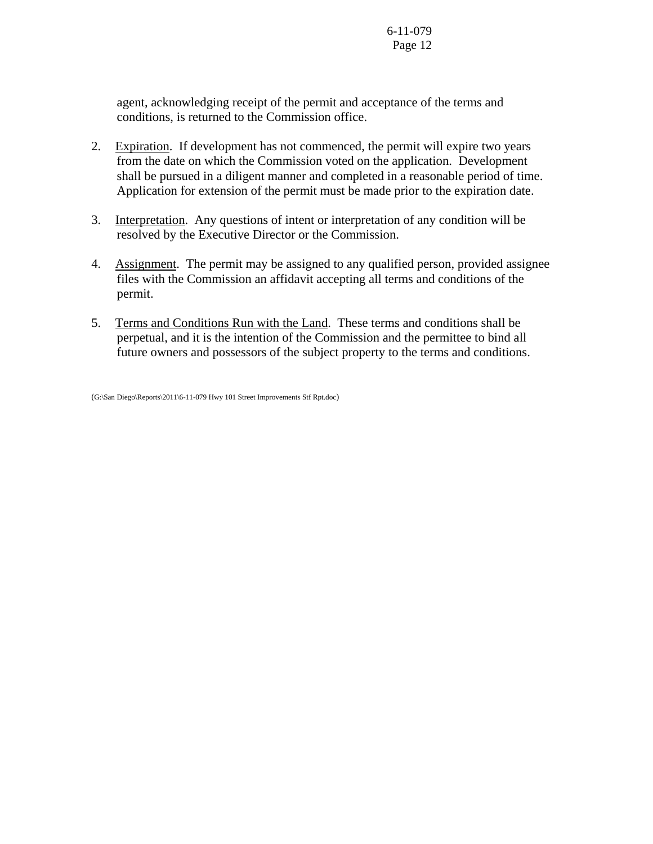agent, acknowledging receipt of the permit and acceptance of the terms and conditions, is returned to the Commission office.

- 2. Expiration. If development has not commenced, the permit will expire two years from the date on which the Commission voted on the application. Development shall be pursued in a diligent manner and completed in a reasonable period of time. Application for extension of the permit must be made prior to the expiration date.
- 3. Interpretation. Any questions of intent or interpretation of any condition will be resolved by the Executive Director or the Commission.
- 4. Assignment. The permit may be assigned to any qualified person, provided assignee files with the Commission an affidavit accepting all terms and conditions of the permit.
- 5. Terms and Conditions Run with the Land. These terms and conditions shall be perpetual, and it is the intention of the Commission and the permittee to bind all future owners and possessors of the subject property to the terms and conditions.

(G:\San Diego\Reports\2011\6-11-079 Hwy 101 Street Improvements Stf Rpt.doc)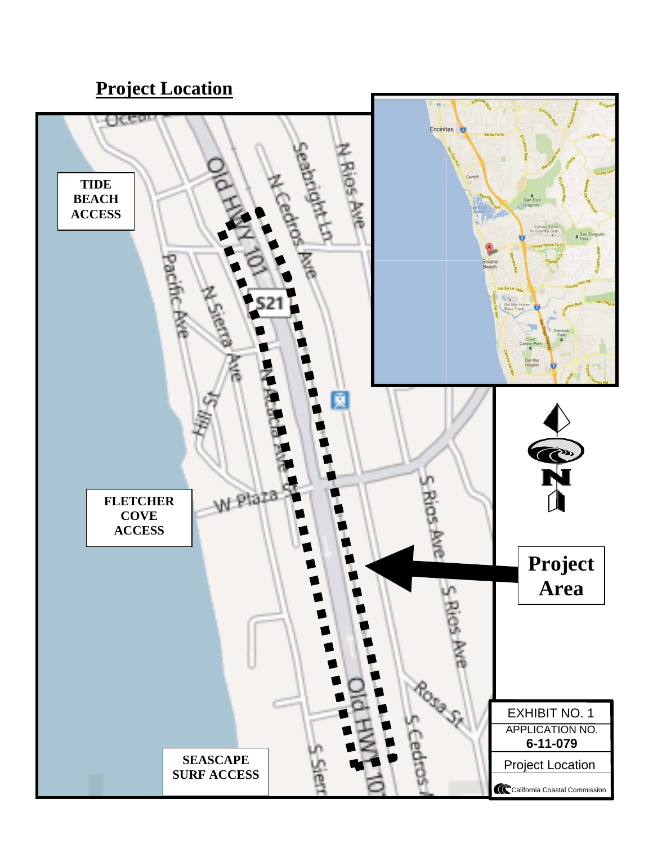## **Project Location**

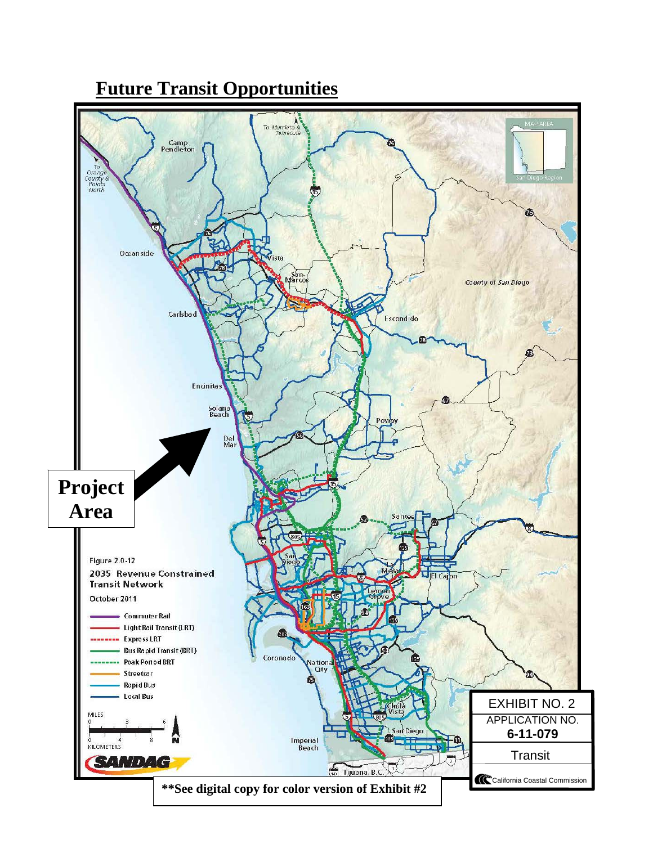

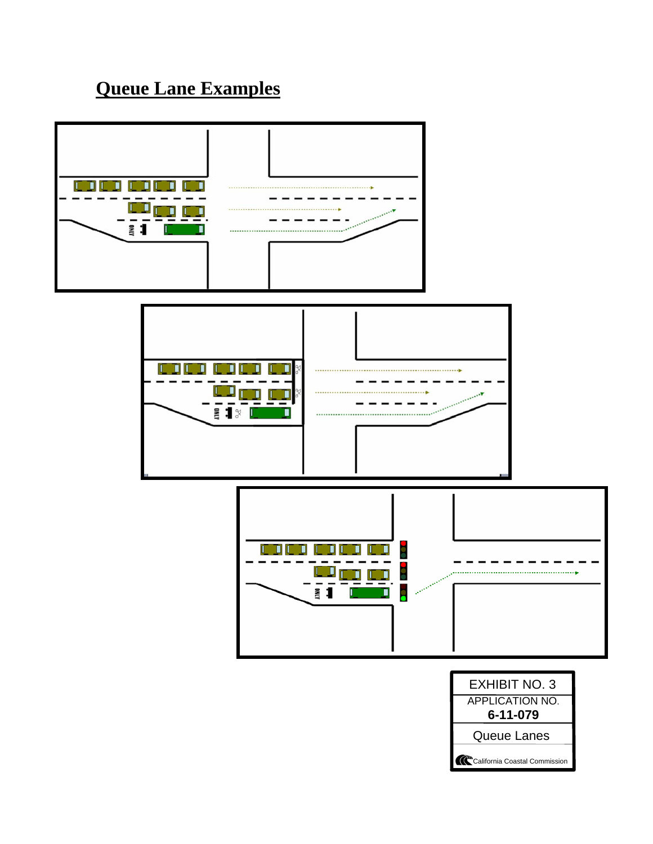## **Queue Lane Examples**